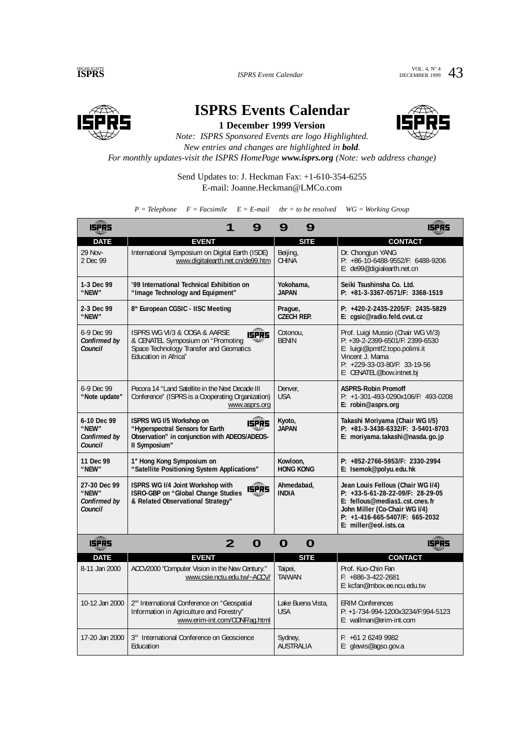VOL. 4, N° 4 43



**ISPRS Events Calendar 1 December 1999 Version**



*Note: ISPRS Sponsored Events are logo Highlighted. New entries and changes are highlighted in bold.*

*For monthly updates-visit the ISPRS HomePage www.isprs.org (Note: web address change)*

Send Updates to: J. Heckman Fax: +1-610-354-6255 E-mail: Joanne.Heckman@LMCo.com

 $P = Telephone$   $F = Facsimile$   $E = E-mail$   $tbr = to be resolved$   $WG = Working Group$ 

| <b>ISPRS</b>                                                                                | 9                                                                                                                                                            | 9<br>9                          | ISPRS                                                                                                                                                                                                 |  |
|---------------------------------------------------------------------------------------------|--------------------------------------------------------------------------------------------------------------------------------------------------------------|---------------------------------|-------------------------------------------------------------------------------------------------------------------------------------------------------------------------------------------------------|--|
| <b>DATE</b>                                                                                 | <b>EVENT</b>                                                                                                                                                 | <b>SITE</b>                     | <b>CONTACT</b>                                                                                                                                                                                        |  |
| 29 Nov-<br>2 Dec 99                                                                         | International Symposium on Digital Earth (ISDE)<br>www.digitalearth.net.cn/de99.htm                                                                          | Beijing,<br><b>CHINA</b>        | Dr. Chongjun YANG<br>P: +86-10-6488-9552/F: 6488-9206<br>E: de99@digialearth.net.cn                                                                                                                   |  |
| 1-3 Dec 99<br>"NEW"                                                                         | '99 International Technical Exhibition on<br>"Image Technology and Equipment"                                                                                | Yokohama,<br><b>JAPAN</b>       | Seiki Tsushinsha Co. Ltd.<br>P: +81-3-3367-0571/F: 3368-1519                                                                                                                                          |  |
| 2-3 Dec 99<br>"NEW"                                                                         | 8th European CGSIC - IISC Meeting                                                                                                                            | Prague,<br><b>CZECH REP.</b>    | P: +420-2-2435-2205/F: 2435-5829<br>E: cgsic@radio.feld.cvut.cz                                                                                                                                       |  |
| 6-9 Dec 99<br>Confirmed by<br>Council                                                       | ISPRS WG VI/3 & OOSA & AARSE<br><b>ISPRS</b><br>& CENATEL Symposium on "Promoting<br>Space Technology Transfer and Geomatics<br><b>Education in Africa</b> " | Cotonou,<br><b>BENIN</b>        | Prof. Luigi Mussio (Chair WG VI/3)<br>P: +39-2-2399-6501/F: 2399-6530<br>E: luigi@ipmtf2.topo.polimi.it<br>Vincent J. Mama<br>P: +229-33-03-80/F: 33-19-56<br>E: CENATEL@bow.intnet.bj                |  |
| 6-9 Dec 99<br>"Note update"                                                                 | Pecora 14 "Land Satellite in the Next Decade III<br>Conference" (ISPRS is a Cooperating Organization)<br>www.asprs.org                                       | Denver.<br><b>USA</b>           | <b>ASPRS-Robin Promoff</b><br>P: +1-301-493-0290x106/F: 493-0208<br>E: robin@asprs.org                                                                                                                |  |
| 6-10 Dec 99<br>"NEW"<br>Confirmed by<br>Council                                             | <b>ISPRS</b><br><b>ISPRS WG I/5 Workshop on</b><br>"Hyperspectral Sensors for Earth<br>Observation" in conjunction with ADEOS/ADEOS-<br>II Symposium"        | Kyoto,<br><b>JAPAN</b>          | Takashi Moriyama (Chair WG I/5)<br>P: +81-3-3438-6332/F: 3-5401-8703<br>E: moriyama.takashi@nasda.go.jp                                                                                               |  |
| 11 Dec 99<br>"NEW"                                                                          | 1st Hong Kong Symposium on<br>"Satellite Positioning System Applications"                                                                                    | Kowloon,<br><b>HONG KONG</b>    | P: +852-2766-5953/F: 2330-2994<br>E: Isemok@polyu.edu.hk                                                                                                                                              |  |
| 27-30 Dec 99<br>"NFW"<br>Confirmed by<br>Council                                            | ISPRS WG I/4 Joint Workshop with<br><b>ISPRS</b><br>ISRO-GBP on "Global Change Studies<br>& Related Observational Strategy"                                  | Ahmedabad,<br><b>INDIA</b>      | Jean Louis Fellous (Chair WG I/4)<br>P: +33-5-61-28-22-09/F: 28-29-05<br>E: fellous@medias1.cst.cnes.fr<br>John Miller (Co-Chair WG I/4)<br>$P: +1-416-665-5407/F: 665-2032$<br>E: miller@eol.ists.ca |  |
| <b>LEPRS</b><br>$\overline{2}$<br>$\mathbf 0$<br>$\mathbf 0$<br>$\mathbf 0$<br><b>ISPRS</b> |                                                                                                                                                              |                                 |                                                                                                                                                                                                       |  |
| <b>DATE</b>                                                                                 | <b>EVENT</b>                                                                                                                                                 | <b>SITE</b>                     | <b>CONTACT</b>                                                                                                                                                                                        |  |
| 8-11 Jan 2000                                                                               | ACCV2000 "Computer Vision in the New Century."<br>www.csie.nctu.edu.tw/~ACCV/                                                                                | Taipei,<br><b>TAIWAN</b>        | Prof. Kuo-Chin Fan<br>$F: +886-3-422-2681$<br>E: kcfan@mbox.ee.ncu.edu.tw                                                                                                                             |  |
| 10-12 Jan 2000                                                                              | 2 <sup>nd</sup> International Conference on "Geospatial<br>Information in Agriculture and Forestry"<br>www.erim-int.com/CONF/ag.html                         | Lake Buena Vista.<br><b>USA</b> | <b>ERIM Conferences</b><br>P: +1-734-994-1200x3234/F:994-5123<br>E: wallman@erim-int.com                                                                                                              |  |
| 17-20 Jan 2000                                                                              | 3rd International Conference on Geoscience<br>Education                                                                                                      | Sydney,<br><b>AUSTRALIA</b>     | $F: +61262499982$<br>E: glewis@agso.gov.a                                                                                                                                                             |  |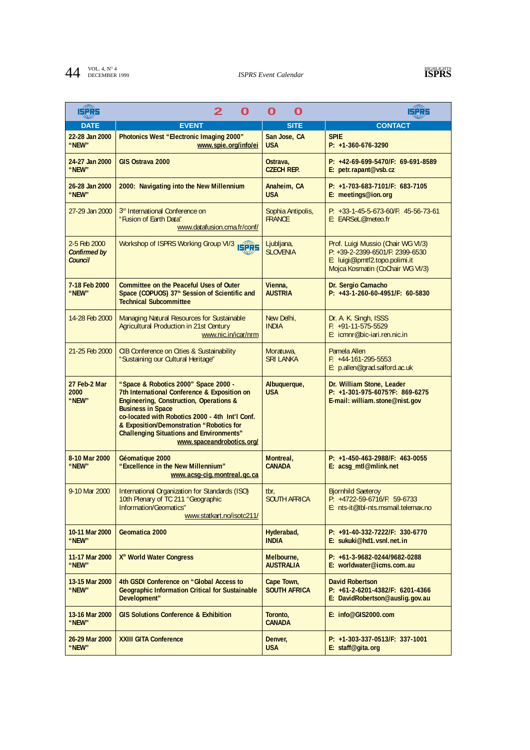## **44 ISPRS** *ISPRS* Event Calendar **ISPRS ISPRS**

| <b>LEFRS</b>                                   | 2<br>O                                                                                                                                                                                                                                                                                                                                                | O<br>O                             | 15285                                                                                                                                       |
|------------------------------------------------|-------------------------------------------------------------------------------------------------------------------------------------------------------------------------------------------------------------------------------------------------------------------------------------------------------------------------------------------------------|------------------------------------|---------------------------------------------------------------------------------------------------------------------------------------------|
| <b>DATE</b>                                    | <b>EVENT</b>                                                                                                                                                                                                                                                                                                                                          | <b>SITE</b>                        | <b>CONTACT</b>                                                                                                                              |
| 22-28 Jan 2000<br>"NEW"                        | Photonics West "Electronic Imaging 2000"<br>www.spie.org/info/ei                                                                                                                                                                                                                                                                                      | San Jose, CA<br><b>USA</b>         | <b>SPIE</b><br>$P: +1-360-676-3290$                                                                                                         |
| 24-27 Jan 2000<br>"NEW"                        | GIS Ostrava 2000                                                                                                                                                                                                                                                                                                                                      | Ostrava,<br><b>CZECH REP.</b>      | $P: +42-69-699-5470/F: 69-691-8589$<br>E: petr.rapant@vsb.cz                                                                                |
| 26-28 Jan 2000<br>"NEW"                        | 2000: Navigating into the New Millennium                                                                                                                                                                                                                                                                                                              | Anaheim, CA<br><b>USA</b>          | P: +1-703-683-7101/F: 683-7105<br>E: meetings@ion.org                                                                                       |
| 27-29 Jan 2000                                 | 3 <sup>rd</sup> International Conference on<br>"Fusion of Earth Data"<br>www.datafusion.cma.fr/conf/                                                                                                                                                                                                                                                  | Sophia Antipolis,<br><b>FRANCE</b> | $P: +33-1-45-5-673-60/F: 45-56-73-61$<br>E: EARSeL@meteo.fr                                                                                 |
| 2-5 Feb 2000<br><b>Confirmed by</b><br>Council | Workshop of ISPRS Working Group VI/3 ISPRS                                                                                                                                                                                                                                                                                                            | Ljubljana,<br><b>SLOVENIA</b>      | Prof. Luigi Mussio (Chair WG VI/3)<br>P: +39-2-2399-6501/F: 2399-6530<br>E: luigi@ipmtf2.topo.polimi.it<br>Mojca Kosmatin (CoChair WG VI/3) |
| 7-18 Feb 2000<br>"NEW"                         | <b>Committee on the Peaceful Uses of Outer</b><br>Space (COPUOS) 37 <sup>th</sup> Session of Scientific and<br><b>Technical Subcommittee</b>                                                                                                                                                                                                          | Vienna,<br><b>AUSTRIA</b>          | Dr. Sergio Camacho<br>$P: +43-1-260-60-4951/F: 60-5830$                                                                                     |
| 14-28 Feb 2000                                 | Managing Natural Resources for Sustainable<br>Agricultural Production in 21st Century<br>www.nic.in/icar/nrm                                                                                                                                                                                                                                          | New Delhi,<br><b>INDIA</b>         | Dr. A. K. Singh, ISSS<br>$F: +91-11-575-5529$<br>E: icmnr@bic-iari.ren.nic.in                                                               |
| 21-25 Feb 2000                                 | <b>CIB Conference on Cities &amp; Sustainability</b><br>"Sustaining our Cultural Heritage"                                                                                                                                                                                                                                                            | Moratuwa,<br><b>SRI LANKA</b>      | Pamela Allen<br>$F: +44-161-295-5553$<br>E: p.allen@grad.salford.ac.uk                                                                      |
| 27 Feb-2 Mar<br>2000<br>"NEW"                  | "Space & Robotics 2000" Space 2000 -<br>7th International Conference & Exposition on<br><b>Engineering, Construction, Operations &amp;</b><br><b>Business in Space</b><br>co-located with Robotics 2000 - 4th Int'l Conf.<br>& Exposition/Demonstration "Robotics for<br><b>Challenging Situations and Environments"</b><br>www.spaceandrobotics.org/ | Albuquerque,<br><b>USA</b>         | Dr. William Stone, Leader<br>P: +1-301-975-6075?F: 869-6275<br>E-mail: william.stone@nist.gov                                               |
| 8-10 Mar 2000<br>"NEW"                         | Géomatique 2000<br>"Excellence in the New Millennium"<br>www.acsg-cig.montreal.qc.ca                                                                                                                                                                                                                                                                  | Montreal,<br><b>CANADA</b>         | P: +1-450-463-2988/F: 463-0055<br>E: acsg_mtl@mlink.net                                                                                     |
| 9-10 Mar 2000                                  | International Organization for Standards (ISO)<br>10th Plenary of TC 211 "Geographic<br>Information/Geomatics"<br>www.statkart.no/isotc211/                                                                                                                                                                                                           | tbr,<br><b>SOUTH AFRICA</b>        | <b>Bjornhild Saeteroy</b><br>P: +4722-59-6716/F: 59-6733<br>E: nts-it@tbl-nts.msmail.telemax.no                                             |
| 10-11 Mar 2000<br>"NEW"                        | Geomatica 2000                                                                                                                                                                                                                                                                                                                                        | Hyderabad,<br><b>INDIA</b>         | $P: +91-40-332-7222/F: 330-6770$<br>E: sukuki@hd1.vsnl.net.in                                                                               |
| 11-17 Mar 2000<br>"NEW"                        | X <sup>th</sup> World Water Congress                                                                                                                                                                                                                                                                                                                  | Melbourne,<br><b>AUSTRALIA</b>     | P: +61-3-9682-0244/9682-0288<br>E: worldwater@icms.com.au                                                                                   |
| 13-15 Mar 2000<br>"NEW"                        | 4th GSDI Conference on "Global Access to<br><b>Geographic Information Critical for Sustainable</b><br>Development"                                                                                                                                                                                                                                    | Cape Town,<br><b>SOUTH AFRICA</b>  | <b>David Robertson</b><br>$P: +61-2-6201-4382/F: 6201-4366$<br>E: DavidRobertson@auslig.gov.au                                              |
| 13-16 Mar 2000<br>"NEW"                        | <b>GIS Solutions Conference &amp; Exhibition</b>                                                                                                                                                                                                                                                                                                      | Toronto,<br><b>CANADA</b>          | E: info@GIS2000.com                                                                                                                         |
| 26-29 Mar 2000<br>"NEW"                        | <b>XXIII GITA Conference</b>                                                                                                                                                                                                                                                                                                                          | Denver,<br><b>USA</b>              | $P: +1-303-337-0513/F: 337-1001$<br>E: staff@gita.org                                                                                       |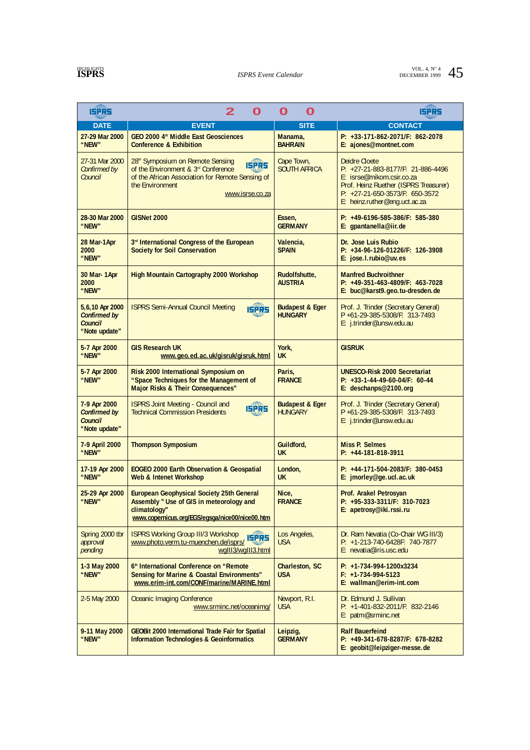## **HIGHLIGHTS**

| <b>ISPRS</b>                                                       | 2<br>O                                                                                                                                                                                        | O<br>O                                       | 15285                                                                                                                                                                                                |
|--------------------------------------------------------------------|-----------------------------------------------------------------------------------------------------------------------------------------------------------------------------------------------|----------------------------------------------|------------------------------------------------------------------------------------------------------------------------------------------------------------------------------------------------------|
| <b>DATE</b>                                                        | <b>EVENT</b>                                                                                                                                                                                  | <b>SITE</b>                                  | <b>CONTACT</b>                                                                                                                                                                                       |
| 27-29 Mar 2000<br>"NEW"                                            | GEO 2000 4 <sup>th</sup> Middle East Geosciences<br><b>Conference &amp; Exhibition</b>                                                                                                        | Manama,<br><b>BAHRAIN</b>                    | P: +33-171-862-2071/F: 862-2078<br>E: ajones@montnet.com                                                                                                                                             |
| 27-31 Mar 2000<br>Confirmed by<br>Council                          | 28 <sup>th</sup> Symposium on Remote Sensing<br><b>ISPRS</b><br>of the Environment & 3rd Conference<br>of the African Association for Remote Sensing of<br>the Environment<br>www.isrse.co.za | Cape Town,<br><b>SOUTH AFRICA</b>            | <b>Deidre Cloete</b><br>$P: +27-21-883-8177/F: 21-886-4496$<br>E: isrse@mikom.csir.co.za<br>Prof. Heinz Ruether (ISPRS Treasurer)<br>P: +27-21-650-3573/F: 650-3572<br>E: heinz.ruther@eng.uct.ac.za |
| 28-30 Mar 2000<br>"NEW"                                            | GISNet 2000                                                                                                                                                                                   | Essen,<br><b>GERMANY</b>                     | $P: +49-6196-585-386/F: 585-380$<br>E: gpantanella@iir.de                                                                                                                                            |
| 28 Mar-1Apr<br>2000<br>"NEW"                                       | 3rd International Congress of the European<br><b>Society for Soil Conservation</b>                                                                                                            | Valencia,<br><b>SPAIN</b>                    | Dr. Jose Luis Rubio<br>P: +34-96-126-01226/F: 126-3908<br>E: jose.l.rubio@uv.es                                                                                                                      |
| 30 Mar-1Apr<br>2000<br>"NEW"                                       | <b>High Mountain Cartography 2000 Workshop</b>                                                                                                                                                | Rudolfshutte,<br><b>AUSTRIA</b>              | <b>Manfred Buchroithner</b><br>$P: +49-351-463-4809/F: 463-7028$<br>E: buc@karst9.geo.tu-dresden.de                                                                                                  |
| 5,6,10 Apr 2000<br><b>Confirmed by</b><br>Council<br>"Note update" | <b>ISPRS Semi-Annual Council Meeting</b><br><b>ISPRS</b>                                                                                                                                      | <b>Budapest &amp; Eger</b><br><b>HUNGARY</b> | Prof. J. Trinder (Secretary General)<br>P+61-29-385-5308/F: 313-7493<br>E: j.trinder@unsw.edu.au                                                                                                     |
| 5-7 Apr 2000<br>"NEW"                                              | <b>GIS Research UK</b><br>www.geo.ed.ac.uk/gisruk/gisruk.html                                                                                                                                 | York,<br><b>UK</b>                           | <b>GISRUK</b>                                                                                                                                                                                        |
| 5-7 Apr 2000<br>"NEW"                                              | Risk 2000 International Symposium on<br>"Space Techniques for the Management of<br>Major Risks & Their Consequences"                                                                          | Paris,<br><b>FRANCE</b>                      | <b>UNESCO-Risk 2000 Secretariat</b><br>P: +33-1-44-49-60-04/F: 60-44<br>E: deschanps@2100.org                                                                                                        |
| 7-9 Apr 2000<br><b>Confirmed by</b><br>Council<br>"Note update"    | <b>ISPRS Joint Meeting - Council and</b><br><b>ISPRS</b><br><b>Technical Commission Presidents</b>                                                                                            | <b>Budapest &amp; Eger</b><br><b>HUNGARY</b> | Prof. J. Trinder (Secretary General)<br>P +61-29-385-5308/F: 313-7493<br>E: j.trinder@unsw.edu.au                                                                                                    |
| 7-9 April 2000<br>"NEW"                                            | <b>Thompson Symposium</b>                                                                                                                                                                     | Guildford,<br><b>UK</b>                      | <b>Miss P. Selmes</b><br>$P: +44-181-818-3911$                                                                                                                                                       |
| 17-19 Apr 2000<br>"NEW"                                            | <b>EOGEO 2000 Earth Observation &amp; Geospatial</b><br><b>Web &amp; Intenet Workshop</b>                                                                                                     | London,<br><b>UK</b>                         | $P: +44-171-504-2083/F: 380-0453$<br>E: jmorley@ge.ucl.ac.uk                                                                                                                                         |
| 25-29 Apr 2000<br>"NEW"                                            | <b>European Geophysical Society 25th General</b><br>Assembly " Use of GIS in meteorology and<br>climatology"<br>www.copernicus.org/EGS/egsga/nice00/nice00.htm                                | Nice,<br><b>FRANCE</b>                       | <b>Prof. Arakel Petrosyan</b><br>P: +95-333-3311/F: 310-7023<br>E: apetrosy@iki.rssi.ru                                                                                                              |
| Spring 2000 tbr<br>approval<br>pending                             | <b>ISPRS Working Group III/3 Workshop</b><br><b>ISPRS</b><br>www.photo.verm.tu-muenchen.de/isprs/<br>wglll3/wglll3.html                                                                       | Los Angeles,<br><b>USA</b>                   | Dr. Ram Nevatia (Co-Chair WG III/3)<br>P: +1-213-740-6428F: 740-7877<br>E: nevatia@iris.usc.edu                                                                                                      |
| 1-3 May 2000<br>"NEW"                                              | 6th International Conference on "Remote"<br><b>Sensing for Marine &amp; Coastal Environments"</b><br>www.erim-int.com/CONF/marine/MARINE.html                                                 | Charleston, SC<br><b>USA</b>                 | $P: +1-734-994-1200x3234$<br>$F: +1-734-994-5123$<br>E: wallman@erim-int.com                                                                                                                         |
| 2-5 May 2000                                                       | <b>Oceanic Imaging Conference</b><br>www.srminc.net/oceanimg/                                                                                                                                 | Newport, R.I.<br><b>USA</b>                  | Dr. Edmund J. Sullivan<br>P: +1-401-832-2011/F: 832-2146<br>E: patm@srminc.net                                                                                                                       |
| 9-11 May 2000<br>"NEW"                                             | <b>GEOBit 2000 International Trade Fair for Spatial</b><br><b>Information Technologies &amp; Geoinformatics</b>                                                                               | Leipzig,<br><b>GERMANY</b>                   | <b>Ralf Bauerfeind</b><br>P: +49-341-678-8287/F: 678-8282<br>E: geobit@leipziger-messe.de                                                                                                            |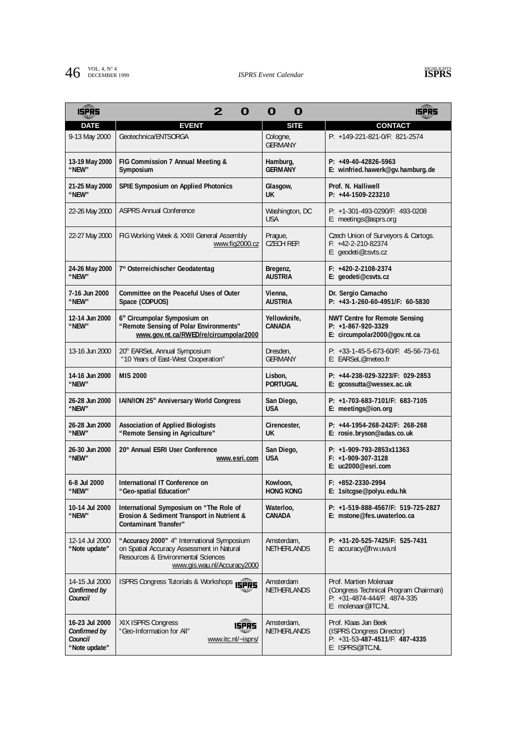## **46 ISPRS** Event Calendar **ISPRS** Event Calendar **ISPRS**



| 48<br>ISPRS                                                | 2                                                                                                                                                                         | O<br>O                           | عواداها                                                                                                                |
|------------------------------------------------------------|---------------------------------------------------------------------------------------------------------------------------------------------------------------------------|----------------------------------|------------------------------------------------------------------------------------------------------------------------|
| <b>DATE</b>                                                | <b>EVENT</b>                                                                                                                                                              | <b>SITE</b>                      | <b>CONTACT</b>                                                                                                         |
| 9-13 May 2000                                              | Geotechnica/ENTSORGA                                                                                                                                                      | Cologne,<br><b>GERMANY</b>       | P: +149-221-821-0/F: 821-2574                                                                                          |
| 13-19 May 2000<br>"NEW"                                    | FIG Commission 7 Annual Meeting &<br>Symposium                                                                                                                            | Hamburg,<br><b>GERMANY</b>       | $P: +49-40-42826-5963$<br>E: winfried.hawerk@gv.hamburg.de                                                             |
| 21-25 May 2000<br>"NEW"                                    | <b>SPIE Symposium on Applied Photonics</b>                                                                                                                                | Glasgow,<br>UK.                  | Prof. N. Halliwell<br>P: +44-1509-223210                                                                               |
| 22-26 May 2000                                             | <b>ASPRS Annual Conference</b>                                                                                                                                            | Washington, DC<br><b>USA</b>     | $P: +1-301-493-0290/F: 493-0208$<br>E: meetings@asprs.org                                                              |
| 22-27 May 2000                                             | FIG Working Week & XXIII General Assembly<br>www.fig2000.cz                                                                                                               | Prague,<br><b>CZECH REP.</b>     | Czech Union of Surveyors & Cartogs.<br>$F: +42-2-210-82374$<br>E: geodeti@csvts.cz                                     |
| 24-26 May 2000<br>"NEW"                                    | 7 <sup>th</sup> Osterreichischer Geodatentag                                                                                                                              | Bregenz,<br><b>AUSTRIA</b>       | $F: +420-2-2108-2374$<br>E: geodeti@csvts.cz                                                                           |
| 7-16 Jun 2000<br>"NEW"                                     | Committee on the Peaceful Uses of Outer<br>Space (COPUOS)                                                                                                                 | Vienna,<br><b>AUSTRIA</b>        | Dr. Sergio Camacho<br>$P: +43-1-260-60-4951/F: 60-5830$                                                                |
| 12-14 Jun 2000<br>"NEW"                                    | 6 <sup>th</sup> Circumpolar Symposium on<br>"Remote Sensing of Polar Environments"<br>www.gov.nt.ca/RWED/re/circumpolar2000                                               | Yellowknife,<br><b>CANADA</b>    | <b>NWT Centre for Remote Sensing</b><br>$P: +1-867-920-3329$<br>E: circumpolar2000@gov.nt.ca                           |
| 13-16 Jun 2000                                             | 20th EARSeL Annual Symposium<br>"10 Years of East-West Cooperation"                                                                                                       | Dresden.<br><b>GERMANY</b>       | $P: +33-1-45-5-673-60/F: 45-56-73-61$<br>E: EARSeL@meteo.fr                                                            |
| 14-16 Jun 2000<br>"NEW"                                    | <b>MIS 2000</b>                                                                                                                                                           | Lisbon,<br><b>PORTUGAL</b>       | $P: +44-238-029-3223/F: 029-2853$<br>E: gcossutta@wessex.ac.uk                                                         |
| 26-28 Jun 2000<br>"NEW"                                    | IAIN/ION 25 <sup>th</sup> Anniversary World Congress                                                                                                                      | San Diego,<br><b>USA</b>         | $P: +1-703-683-7101/F: 683-7105$<br>E: meetings@ion.org                                                                |
| 26-28 Jun 2000<br>"NEW"                                    | <b>Association of Applied Biologists</b><br>"Remote Sensing in Agriculture"                                                                                               | Cirencester,<br><b>UK</b>        | P: +44-1954-268-242/F: 268-268<br>E: rosie.bryson@adas.co.uk                                                           |
| 26-30 Jun 2000<br>"NEW"                                    | 20th Annual ESRI User Conference<br>www.esri.com                                                                                                                          | San Diego,<br><b>USA</b>         | P: +1-909-793-2853x11363<br>$F: +1-909-307-3128$<br>E: uc2000@esri.com                                                 |
| 6-8 Jul 2000<br>"NEW"                                      | International IT Conference on<br>"Geo-spatial Education"                                                                                                                 | Kowloon,<br><b>HONG KONG</b>     | $F: +852 - 2330 - 2994$<br>E: 1sitcgse@polyu.edu.hk                                                                    |
| 10-14 Jul 2000<br>"NEW"                                    | International Symposium on "The Role of<br>Erosion & Sediment Transport in Nutrient &<br><b>Contaminant Transfer"</b>                                                     | Waterloo,<br><b>CANADA</b>       | P: +1-519-888-4567/F: 519-725-2827<br>E: mstone@fes.uwaterloo.ca                                                       |
| 12-14 Jul 2000<br>"Note update"                            | "Accuracy 2000" 4 <sup>th</sup> International Symposium<br>on Spatial Accuracy Assessment in Natural<br>Resources & Environmental Sciences<br>www.gis.wau.nl/Accuracy2000 | Amsterdam,<br><b>NETHERLANDS</b> | $P: +31-20-525-7425/F: 525-7431$<br>E: accuracy@frw.uva.nl                                                             |
| 14-15 Jul 2000<br>Confirmed by<br>Council                  | ISPRS Congress Tutorials & Workshops ISPRS                                                                                                                                | Amsterdam<br><b>NETHERLANDS</b>  | Prof. Martien Molenaar<br>(Congress Technical Program Chairman)<br>$P: +31-4874-444/F: 4874-335$<br>E: molenaar@ITC.NL |
| 16-23 Jul 2000<br>Confirmed by<br>Council<br>"Note update" | XIX ISPRS Congress<br>ISPRS<br>"Geo-Information for All"<br>www.itc.nl/~isprs/                                                                                            | Amsterdam,<br>NETHERLANDS        | Prof. Klaas Jan Beek<br>(ISPRS Congress Director)<br>$P: +31-53-487-4511/F: 487-4335$<br>E: ISPRS@ITC.NL               |